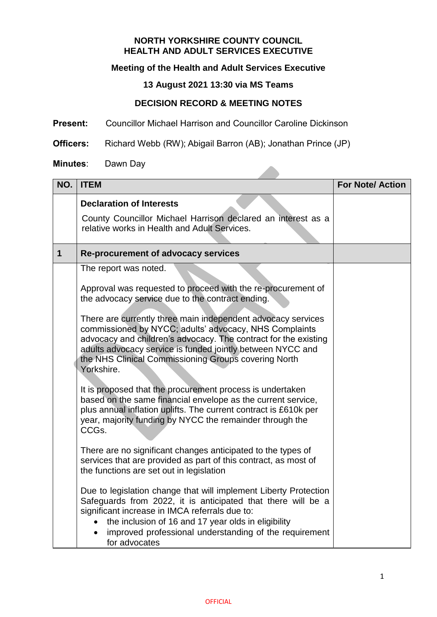#### **NORTH YORKSHIRE COUNTY COUNCIL HEALTH AND ADULT SERVICES EXECUTIVE**

# **Meeting of the Health and Adult Services Executive**

# **13 August 2021 13:30 via MS Teams**

### **DECISION RECORD & MEETING NOTES**

**Present:** Councillor Michael Harrison and Councillor Caroline Dickinson

**Officers:** Richard Webb (RW); Abigail Barron (AB); Jonathan Prince (JP)

#### **Minutes**: Dawn Day

| NO.         | <b>ITEM</b>                                                                                                                                                                                                                                                                                                                                    | <b>For Note/Action</b> |
|-------------|------------------------------------------------------------------------------------------------------------------------------------------------------------------------------------------------------------------------------------------------------------------------------------------------------------------------------------------------|------------------------|
|             | <b>Declaration of Interests</b><br>County Councillor Michael Harrison declared an interest as a<br>relative works in Health and Adult Services.                                                                                                                                                                                                |                        |
| $\mathbf 1$ | <b>Re-procurement of advocacy services</b>                                                                                                                                                                                                                                                                                                     |                        |
|             | The report was noted.                                                                                                                                                                                                                                                                                                                          |                        |
|             | Approval was requested to proceed with the re-procurement of<br>the advocacy service due to the contract ending.                                                                                                                                                                                                                               |                        |
|             | There are currently three main independent advocacy services<br>commissioned by NYCC; adults' advocacy, NHS Complaints<br>advocacy and children's advocacy. The contract for the existing<br>adults advocacy service is funded jointly between NYCC and<br>the NHS Clinical Commissioning Groups covering North<br>Yorkshire.                  |                        |
|             | It is proposed that the procurement process is undertaken<br>based on the same financial envelope as the current service,<br>plus annual inflation uplifts. The current contract is £610k per<br>year, majority funding by NYCC the remainder through the<br>CCGs.                                                                             |                        |
|             | There are no significant changes anticipated to the types of<br>services that are provided as part of this contract, as most of<br>the functions are set out in legislation                                                                                                                                                                    |                        |
|             | Due to legislation change that will implement Liberty Protection<br>Safeguards from 2022, it is anticipated that there will be a<br>significant increase in IMCA referrals due to:<br>the inclusion of 16 and 17 year olds in eligibility<br>$\bullet$<br>improved professional understanding of the requirement<br>$\bullet$<br>for advocates |                        |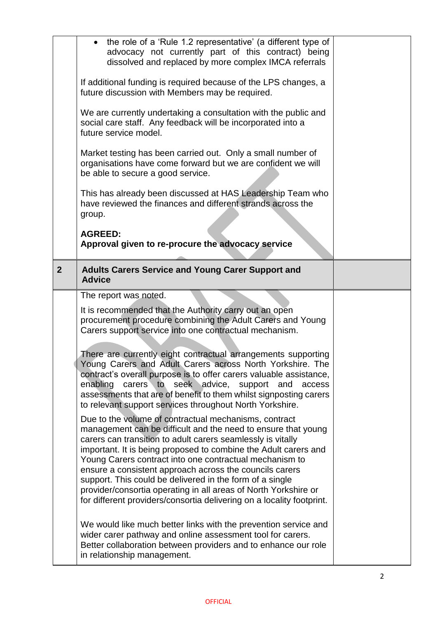|                | the role of a 'Rule 1.2 representative' (a different type of<br>$\bullet$<br>advocacy not currently part of this contract) being<br>dissolved and replaced by more complex IMCA referrals<br>If additional funding is required because of the LPS changes, a<br>future discussion with Members may be required.<br>We are currently undertaking a consultation with the public and<br>social care staff. Any feedback will be incorporated into a<br>future service model.<br>Market testing has been carried out. Only a small number of<br>organisations have come forward but we are confident we will<br>be able to secure a good service.<br>This has already been discussed at HAS Leadership Team who<br>have reviewed the finances and different strands across the<br>group.<br><b>AGREED:</b><br>Approval given to re-procure the advocacy service                                                                                                                                                                                                                                                                                                                                                                                                                                                                                                                                                                            |  |
|----------------|-----------------------------------------------------------------------------------------------------------------------------------------------------------------------------------------------------------------------------------------------------------------------------------------------------------------------------------------------------------------------------------------------------------------------------------------------------------------------------------------------------------------------------------------------------------------------------------------------------------------------------------------------------------------------------------------------------------------------------------------------------------------------------------------------------------------------------------------------------------------------------------------------------------------------------------------------------------------------------------------------------------------------------------------------------------------------------------------------------------------------------------------------------------------------------------------------------------------------------------------------------------------------------------------------------------------------------------------------------------------------------------------------------------------------------------------|--|
| 2 <sup>2</sup> | <b>Adults Carers Service and Young Carer Support and</b><br><b>Advice</b>                                                                                                                                                                                                                                                                                                                                                                                                                                                                                                                                                                                                                                                                                                                                                                                                                                                                                                                                                                                                                                                                                                                                                                                                                                                                                                                                                               |  |
|                | The report was noted.<br>It is recommended that the Authority carry out an open<br>procurement procedure combining the Adult Carers and Young<br>Carers support service into one contractual mechanism.<br>There are currently eight contractual arrangements supporting<br>Young Carers and Adult Carers across North Yorkshire. The<br>contract's overall purpose is to offer carers valuable assistance,<br>enabling<br>carers to seek advice,<br>support and<br>access<br>assessments that are of benefit to them whilst signposting carers<br>to relevant support services throughout North Yorkshire.<br>Due to the volume of contractual mechanisms, contract<br>management can be difficult and the need to ensure that young<br>carers can transition to adult carers seamlessly is vitally<br>important. It is being proposed to combine the Adult carers and<br>Young Carers contract into one contractual mechanism to<br>ensure a consistent approach across the councils carers<br>support. This could be delivered in the form of a single<br>provider/consortia operating in all areas of North Yorkshire or<br>for different providers/consortia delivering on a locality footprint.<br>We would like much better links with the prevention service and<br>wider carer pathway and online assessment tool for carers.<br>Better collaboration between providers and to enhance our role<br>in relationship management. |  |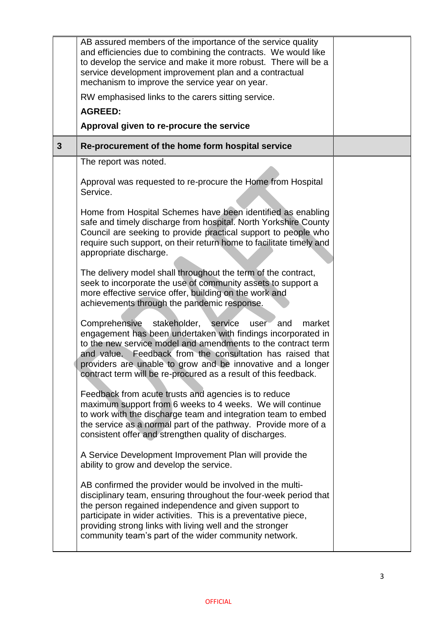|                | AB assured members of the importance of the service quality<br>and efficiencies due to combining the contracts. We would like<br>to develop the service and make it more robust. There will be a<br>service development improvement plan and a contractual<br>mechanism to improve the service year on year.                                                                                     |  |
|----------------|--------------------------------------------------------------------------------------------------------------------------------------------------------------------------------------------------------------------------------------------------------------------------------------------------------------------------------------------------------------------------------------------------|--|
|                | RW emphasised links to the carers sitting service.                                                                                                                                                                                                                                                                                                                                               |  |
|                | <b>AGREED:</b>                                                                                                                                                                                                                                                                                                                                                                                   |  |
|                | Approval given to re-procure the service                                                                                                                                                                                                                                                                                                                                                         |  |
| 3 <sup>5</sup> | Re-procurement of the home form hospital service                                                                                                                                                                                                                                                                                                                                                 |  |
|                | The report was noted.                                                                                                                                                                                                                                                                                                                                                                            |  |
|                | Approval was requested to re-procure the Home from Hospital<br>Service.                                                                                                                                                                                                                                                                                                                          |  |
|                | Home from Hospital Schemes have been identified as enabling<br>safe and timely discharge from hospital. North Yorkshire County<br>Council are seeking to provide practical support to people who<br>require such support, on their return home to facilitate timely and<br>appropriate discharge.                                                                                                |  |
|                | The delivery model shall throughout the term of the contract,<br>seek to incorporate the use of community assets to support a<br>more effective service offer, building on the work and<br>achievements through the pandemic response.                                                                                                                                                           |  |
|                | Comprehensive stakeholder,<br>market<br>service<br>user<br>and<br>engagement has been undertaken with findings incorporated in<br>to the new service model and amendments to the contract term<br>Feedback from the consultation has raised that<br>and value.<br>providers are unable to grow and be innovative and a longer<br>contract term will be re-procured as a result of this feedback. |  |
|                | Feedback from acute trusts and agencies is to reduce<br>maximum support from 6 weeks to 4 weeks. We will continue<br>to work with the discharge team and integration team to embed<br>the service as a normal part of the pathway. Provide more of a<br>consistent offer and strengthen quality of discharges.                                                                                   |  |
|                | A Service Development Improvement Plan will provide the<br>ability to grow and develop the service.                                                                                                                                                                                                                                                                                              |  |
|                | AB confirmed the provider would be involved in the multi-<br>disciplinary team, ensuring throughout the four-week period that<br>the person regained independence and given support to<br>participate in wider activities. This is a preventative piece,<br>providing strong links with living well and the stronger<br>community team's part of the wider community network.                    |  |